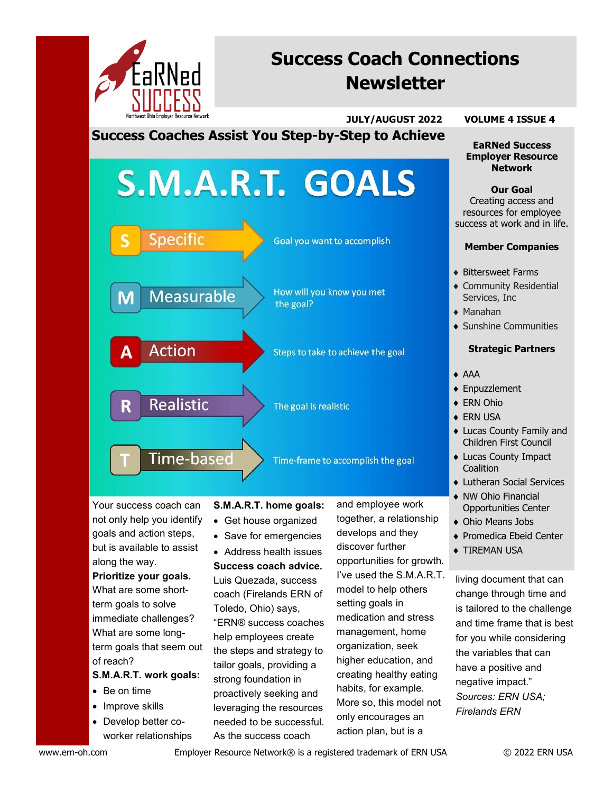

# **Success Coach Connections Newsletter**

 **JULY/AUGUST 2022 VOLUME 4 ISSUE 4**

**Success Coaches Assist You Step-by-Step to Achieve**

# S.M.A.R.T. GOALS **Specific** Goal you want to accomplish How will you know you met Measurable the goal? **Action** Steps to take to achieve the goal **Realistic**  $\mathbb{R}$ The goal is realistic

Time-frame to accomplish the goal

Your success coach can not only help you identify goals and action steps, but is available to assist along the way.

Time-based

# **Prioritize your goals.**  What are some shortterm goals to solve immediate challenges? What are some longterm goals that seem out of reach?

# **S.M.A.R.T. work goals:**

- Be on time
- Improve skills
- Develop better coworker relationships

# **S.M.A.R.T. home goals:**

- Get house organized
- Save for emergencies

• Address health issues **Success coach advice.** Luis Quezada, success coach (Firelands ERN of Toledo, Ohio) says, "ERN® success coaches help employees create the steps and strategy to tailor goals, providing a strong foundation in proactively seeking and leveraging the resources needed to be successful. As the success coach

and employee work together, a relationship develops and they discover further opportunities for growth. I've used the S.M.A.R.T. model to help others setting goals in medication and stress management, home organization, seek higher education, and creating healthy eating habits, for example. More so, this model not only encourages an action plan, but is a

**EaRNed Success Employer Resource Network** 

**Our Goal** Creating access and resources for employee success at work and in life.

#### **Member Companies**

- Bittersweet Farms
- Community Residential Services, Inc
- Manahan
- Sunshine Communities

#### **Strategic Partners**

- AAA
- ◆ Enpuzzlement
- ◆ ERN Ohio
- ◆ ERN USA
- Lucas County Family and Children First Council
- Lucas County Impact **Coalition**
- Lutheran Social Services
- NW Ohio Financial Opportunities Center
- Ohio Means Jobs
- ◆ Promedica Ebeid Center
- **TIREMAN USA**

living document that can change through time and is tailored to the challenge and time frame that is best for you while considering the variables that can have a positive and negative impact." *Sources: ERN USA; Firelands ERN*